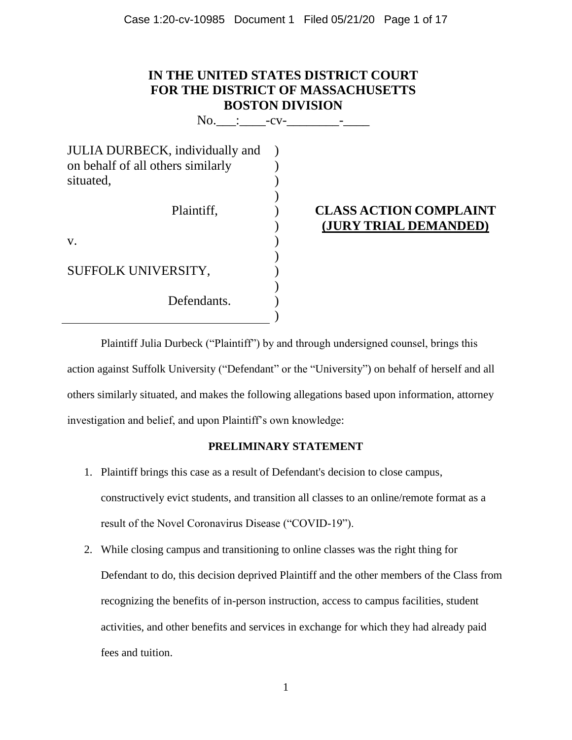| IN THE UNITED STATES DISTRICT COURT      |
|------------------------------------------|
| <b>FOR THE DISTRICT OF MASSACHUSETTS</b> |
| <b>BOSTON DIVISION</b>                   |

 $\text{No.}$  :  $\text{Cv-}$   $\text{-}\text{cv-}$   $\text{-}$ 

| <b>CLASS ACTION COMPLAINT</b><br>(JURY TRIAL DEMANDED) |
|--------------------------------------------------------|
|                                                        |
|                                                        |
|                                                        |
|                                                        |
|                                                        |

Plaintiff Julia Durbeck ("Plaintiff") by and through undersigned counsel, brings this action against Suffolk University ("Defendant" or the "University") on behalf of herself and all others similarly situated, and makes the following allegations based upon information, attorney investigation and belief, and upon Plaintiff's own knowledge:

#### **PRELIMINARY STATEMENT**

- 1. Plaintiff brings this case as a result of Defendant's decision to close campus, constructively evict students, and transition all classes to an online/remote format as a result of the Novel Coronavirus Disease ("COVID-19").
- 2. While closing campus and transitioning to online classes was the right thing for Defendant to do, this decision deprived Plaintiff and the other members of the Class from recognizing the benefits of in-person instruction, access to campus facilities, student activities, and other benefits and services in exchange for which they had already paid fees and tuition.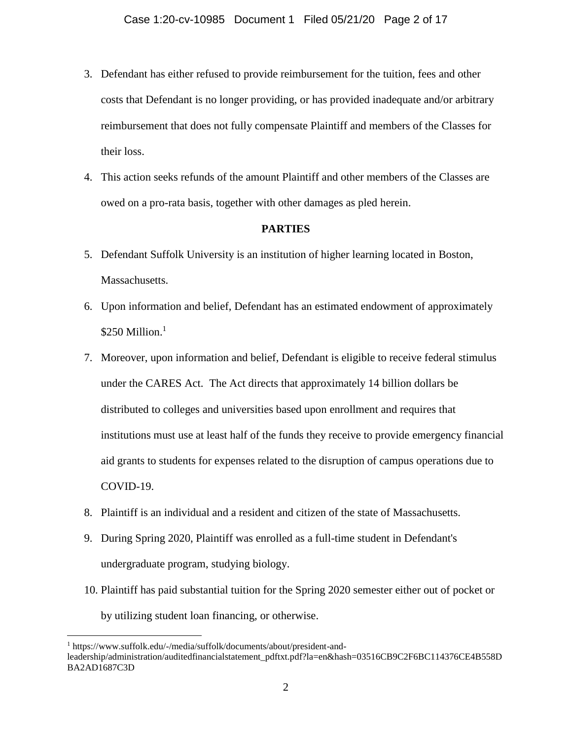- 3. Defendant has either refused to provide reimbursement for the tuition, fees and other costs that Defendant is no longer providing, or has provided inadequate and/or arbitrary reimbursement that does not fully compensate Plaintiff and members of the Classes for their loss.
- 4. This action seeks refunds of the amount Plaintiff and other members of the Classes are owed on a pro-rata basis, together with other damages as pled herein.

#### **PARTIES**

- 5. Defendant Suffolk University is an institution of higher learning located in Boston, Massachusetts.
- 6. Upon information and belief, Defendant has an estimated endowment of approximately  $$250$  Million.<sup>1</sup>
- 7. Moreover, upon information and belief, Defendant is eligible to receive federal stimulus under the CARES Act. The Act directs that approximately 14 billion dollars be distributed to colleges and universities based upon enrollment and requires that institutions must use at least half of the funds they receive to provide emergency financial aid grants to students for expenses related to the disruption of campus operations due to COVID-19.
- 8. Plaintiff is an individual and a resident and citizen of the state of Massachusetts.
- 9. During Spring 2020, Plaintiff was enrolled as a full-time student in Defendant's undergraduate program, studying biology.

 $\overline{a}$ 

10. Plaintiff has paid substantial tuition for the Spring 2020 semester either out of pocket or by utilizing student loan financing, or otherwise.

<sup>1</sup> https://www.suffolk.edu/-/media/suffolk/documents/about/president-andleadership/administration/auditedfinancialstatement\_pdftxt.pdf?la=en&hash=03516CB9C2F6BC114376CE4B558D BA2AD1687C3D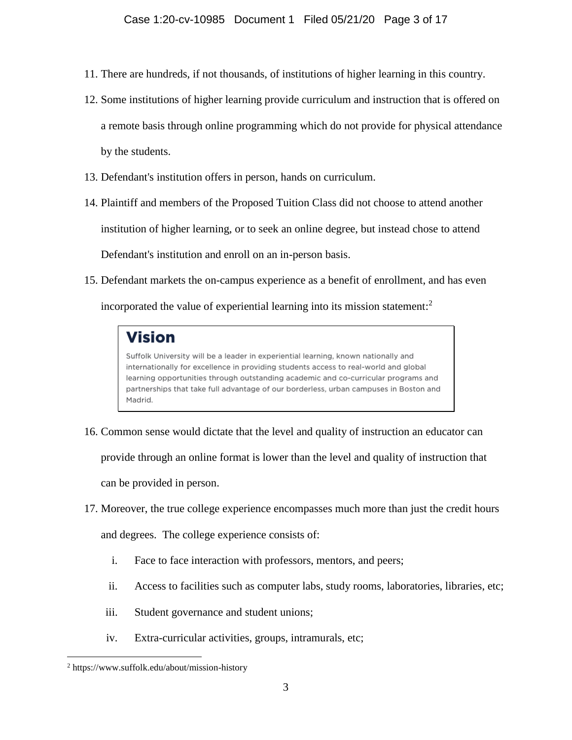- 11. There are hundreds, if not thousands, of institutions of higher learning in this country.
- 12. Some institutions of higher learning provide curriculum and instruction that is offered on a remote basis through online programming which do not provide for physical attendance by the students.
- 13. Defendant's institution offers in person, hands on curriculum.
- 14. Plaintiff and members of the Proposed Tuition Class did not choose to attend another institution of higher learning, or to seek an online degree, but instead chose to attend Defendant's institution and enroll on an in-person basis.
- 15. Defendant markets the on-campus experience as a benefit of enrollment, and has even

incorporated the value of experiential learning into its mission statement: 2

# **Vision**

Suffolk University will be a leader in experiential learning, known nationally and internationally for excellence in providing students access to real-world and global learning opportunities through outstanding academic and co-curricular programs and partnerships that take full advantage of our borderless, urban campuses in Boston and Madrid.

- 16. Common sense would dictate that the level and quality of instruction an educator can provide through an online format is lower than the level and quality of instruction that can be provided in person.
- 17. Moreover, the true college experience encompasses much more than just the credit hours

and degrees. The college experience consists of:

- i. Face to face interaction with professors, mentors, and peers;
- ii. Access to facilities such as computer labs, study rooms, laboratories, libraries, etc;
- iii. Student governance and student unions;
- iv. Extra-curricular activities, groups, intramurals, etc;

<sup>2</sup> https://www.suffolk.edu/about/mission-history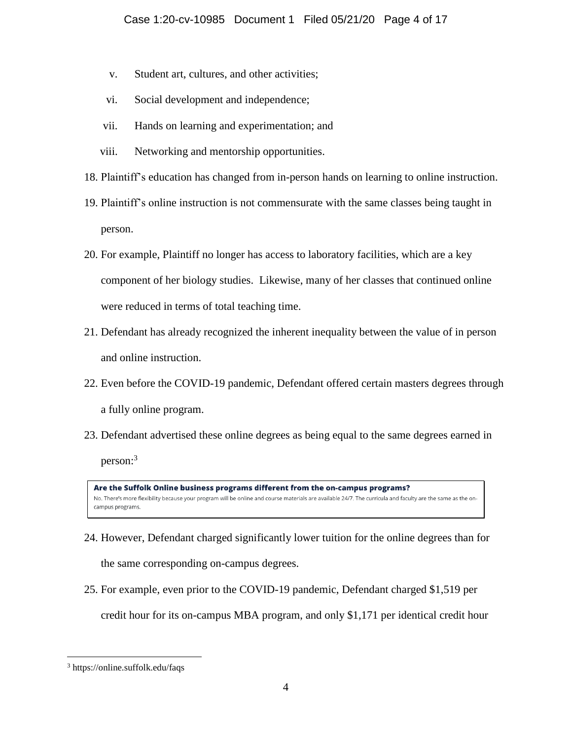- v. Student art, cultures, and other activities;
- vi. Social development and independence;
- vii. Hands on learning and experimentation; and
- viii. Networking and mentorship opportunities.
- 18. Plaintiff's education has changed from in-person hands on learning to online instruction.
- 19. Plaintiff's online instruction is not commensurate with the same classes being taught in person.
- 20. For example, Plaintiff no longer has access to laboratory facilities, which are a key component of her biology studies. Likewise, many of her classes that continued online were reduced in terms of total teaching time.
- 21. Defendant has already recognized the inherent inequality between the value of in person and online instruction.
- 22. Even before the COVID-19 pandemic, Defendant offered certain masters degrees through a fully online program.
- 23. Defendant advertised these online degrees as being equal to the same degrees earned in person:<sup>3</sup>

Are the Suffolk Online business programs different from the on-campus programs? No. There's more flexibility because your program will be online and course materials are available 24/7. The curricula and faculty are the same as the oncampus programs.

- 24. However, Defendant charged significantly lower tuition for the online degrees than for the same corresponding on-campus degrees.
- 25. For example, even prior to the COVID-19 pandemic, Defendant charged \$1,519 per credit hour for its on-campus MBA program, and only \$1,171 per identical credit hour

<sup>3</sup> https://online.suffolk.edu/faqs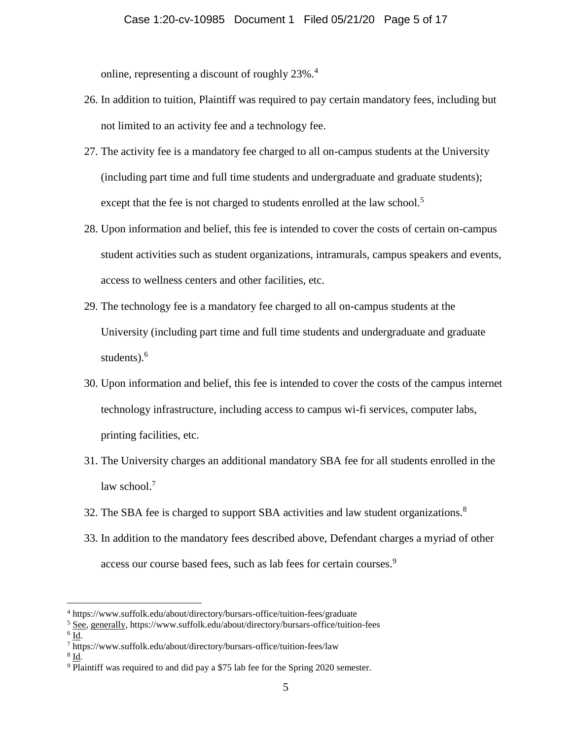online, representing a discount of roughly 23%.<sup>4</sup>

- 26. In addition to tuition, Plaintiff was required to pay certain mandatory fees, including but not limited to an activity fee and a technology fee.
- 27. The activity fee is a mandatory fee charged to all on-campus students at the University (including part time and full time students and undergraduate and graduate students); except that the fee is not charged to students enrolled at the law school.<sup>5</sup>
- 28. Upon information and belief, this fee is intended to cover the costs of certain on-campus student activities such as student organizations, intramurals, campus speakers and events, access to wellness centers and other facilities, etc.
- 29. The technology fee is a mandatory fee charged to all on-campus students at the University (including part time and full time students and undergraduate and graduate students). 6
- 30. Upon information and belief, this fee is intended to cover the costs of the campus internet technology infrastructure, including access to campus wi-fi services, computer labs, printing facilities, etc.
- 31. The University charges an additional mandatory SBA fee for all students enrolled in the law school. $<sup>7</sup>$ </sup>
- 32. The SBA fee is charged to support SBA activities and law student organizations.<sup>8</sup>
- 33. In addition to the mandatory fees described above, Defendant charges a myriad of other access our course based fees, such as lab fees for certain courses.<sup>9</sup>

 $\overline{a}$ 

 $^8$  <u>Id</u>.

<sup>4</sup> https://www.suffolk.edu/about/directory/bursars-office/tuition-fees/graduate

<sup>5</sup> See, generally, https://www.suffolk.edu/about/directory/bursars-office/tuition-fees

 $^6$  <u>Id</u>.

<sup>7</sup> https://www.suffolk.edu/about/directory/bursars-office/tuition-fees/law

<sup>9</sup> Plaintiff was required to and did pay a \$75 lab fee for the Spring 2020 semester.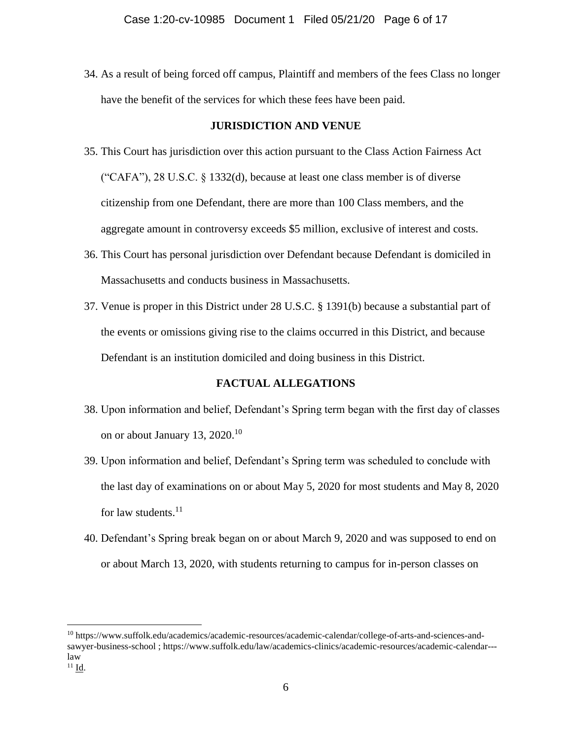34. As a result of being forced off campus, Plaintiff and members of the fees Class no longer have the benefit of the services for which these fees have been paid.

#### **JURISDICTION AND VENUE**

- 35. This Court has jurisdiction over this action pursuant to the Class Action Fairness Act ("CAFA"), 28 U.S.C. § 1332(d), because at least one class member is of diverse citizenship from one Defendant, there are more than 100 Class members, and the aggregate amount in controversy exceeds \$5 million, exclusive of interest and costs.
- 36. This Court has personal jurisdiction over Defendant because Defendant is domiciled in Massachusetts and conducts business in Massachusetts.
- 37. Venue is proper in this District under 28 U.S.C. § 1391(b) because a substantial part of the events or omissions giving rise to the claims occurred in this District, and because Defendant is an institution domiciled and doing business in this District.

#### **FACTUAL ALLEGATIONS**

- 38. Upon information and belief, Defendant's Spring term began with the first day of classes on or about January 13, 2020.<sup>10</sup>
- 39. Upon information and belief, Defendant's Spring term was scheduled to conclude with the last day of examinations on or about May 5, 2020 for most students and May 8, 2020 for law students. $^{11}$
- 40. Defendant's Spring break began on or about March 9, 2020 and was supposed to end on or about March 13, 2020, with students returning to campus for in-person classes on

<sup>10</sup> https://www.suffolk.edu/academics/academic-resources/academic-calendar/college-of-arts-and-sciences-andsawyer-business-school; https://www.suffolk.edu/law/academics-clinics/academic-resources/academic-calendar--law  $^{11}$  Id.

<sup>6</sup>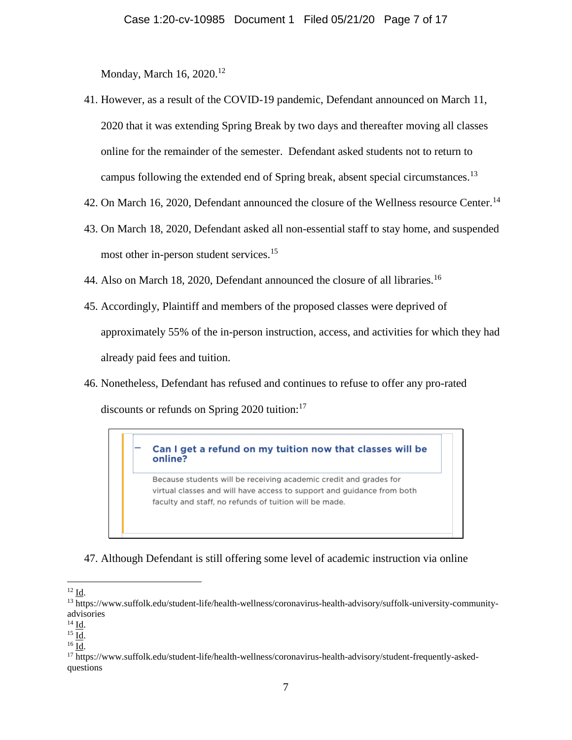Monday, March 16, 2020.<sup>12</sup>

- 41. However, as a result of the COVID-19 pandemic, Defendant announced on March 11, 2020 that it was extending Spring Break by two days and thereafter moving all classes online for the remainder of the semester. Defendant asked students not to return to campus following the extended end of Spring break, absent special circumstances.<sup>13</sup>
- 42. On March 16, 2020, Defendant announced the closure of the Wellness resource Center.<sup>14</sup>
- 43. On March 18, 2020, Defendant asked all non-essential staff to stay home, and suspended most other in-person student services.<sup>15</sup>
- 44. Also on March 18, 2020, Defendant announced the closure of all libraries.<sup>16</sup>
- 45. Accordingly, Plaintiff and members of the proposed classes were deprived of approximately 55% of the in-person instruction, access, and activities for which they had already paid fees and tuition.
- 46. Nonetheless, Defendant has refused and continues to refuse to offer any pro-rated discounts or refunds on Spring  $2020$  tuition:<sup>17</sup>

#### Can I get a refund on my tuition now that classes will be online?

Because students will be receiving academic credit and grades for virtual classes and will have access to support and guidance from both faculty and staff, no refunds of tuition will be made.

47. Although Defendant is still offering some level of academic instruction via online

 $12 \underline{Id}$ .

<sup>13</sup> https://www.suffolk.edu/student-life/health-wellness/coronavirus-health-advisory/suffolk-university-communityadvisories

 $14$   $\underline{\text{Id}}$ .

<sup>15</sup> Id.

<sup>16</sup> Id.

<sup>17</sup> https://www.suffolk.edu/student-life/health-wellness/coronavirus-health-advisory/student-frequently-askedquestions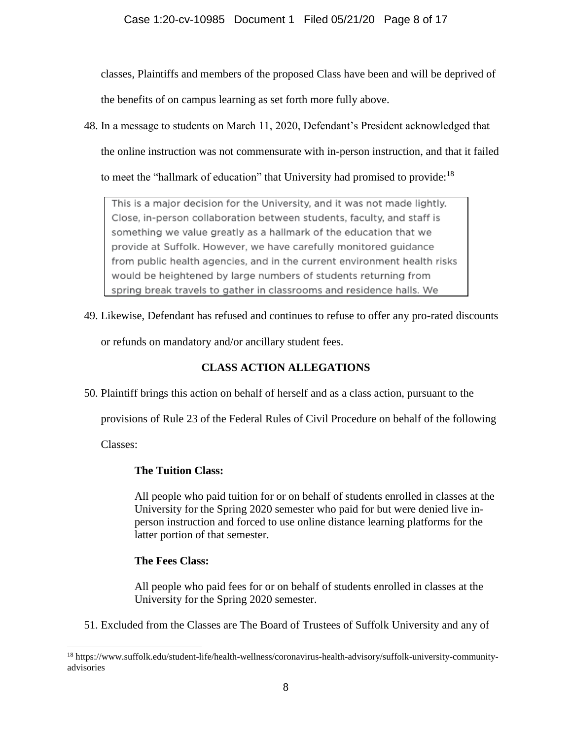classes, Plaintiffs and members of the proposed Class have been and will be deprived of

the benefits of on campus learning as set forth more fully above.

48. In a message to students on March 11, 2020, Defendant's President acknowledged that

the online instruction was not commensurate with in-person instruction, and that it failed

to meet the "hallmark of education" that University had promised to provide:<sup>18</sup>

This is a major decision for the University, and it was not made lightly. Close, in-person collaboration between students, faculty, and staff is something we value greatly as a hallmark of the education that we provide at Suffolk. However, we have carefully monitored guidance from public health agencies, and in the current environment health risks would be heightened by large numbers of students returning from spring break travels to gather in classrooms and residence halls. We

49. Likewise, Defendant has refused and continues to refuse to offer any pro-rated discounts

or refunds on mandatory and/or ancillary student fees.

## **CLASS ACTION ALLEGATIONS**

50. Plaintiff brings this action on behalf of herself and as a class action, pursuant to the

provisions of Rule 23 of the Federal Rules of Civil Procedure on behalf of the following

Classes:

 $\overline{a}$ 

## **The Tuition Class:**

All people who paid tuition for or on behalf of students enrolled in classes at the University for the Spring 2020 semester who paid for but were denied live inperson instruction and forced to use online distance learning platforms for the latter portion of that semester.

## **The Fees Class:**

All people who paid fees for or on behalf of students enrolled in classes at the University for the Spring 2020 semester.

51. Excluded from the Classes are The Board of Trustees of Suffolk University and any of

<sup>18</sup> https://www.suffolk.edu/student-life/health-wellness/coronavirus-health-advisory/suffolk-university-communityadvisories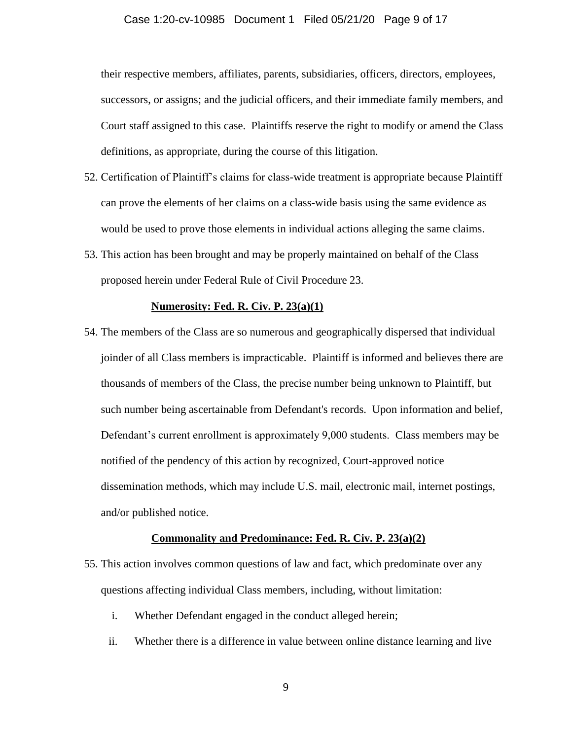#### Case 1:20-cv-10985 Document 1 Filed 05/21/20 Page 9 of 17

their respective members, affiliates, parents, subsidiaries, officers, directors, employees, successors, or assigns; and the judicial officers, and their immediate family members, and Court staff assigned to this case. Plaintiffs reserve the right to modify or amend the Class definitions, as appropriate, during the course of this litigation.

- 52. Certification of Plaintiff's claims for class-wide treatment is appropriate because Plaintiff can prove the elements of her claims on a class-wide basis using the same evidence as would be used to prove those elements in individual actions alleging the same claims.
- 53. This action has been brought and may be properly maintained on behalf of the Class proposed herein under Federal Rule of Civil Procedure 23.

#### **Numerosity: Fed. R. Civ. P. 23(a)(1)**

54. The members of the Class are so numerous and geographically dispersed that individual joinder of all Class members is impracticable. Plaintiff is informed and believes there are thousands of members of the Class, the precise number being unknown to Plaintiff, but such number being ascertainable from Defendant's records. Upon information and belief, Defendant's current enrollment is approximately 9,000 students. Class members may be notified of the pendency of this action by recognized, Court-approved notice dissemination methods, which may include U.S. mail, electronic mail, internet postings, and/or published notice.

#### **Commonality and Predominance: Fed. R. Civ. P. 23(a)(2)**

- 55. This action involves common questions of law and fact, which predominate over any questions affecting individual Class members, including, without limitation:
	- i. Whether Defendant engaged in the conduct alleged herein;
	- ii. Whether there is a difference in value between online distance learning and live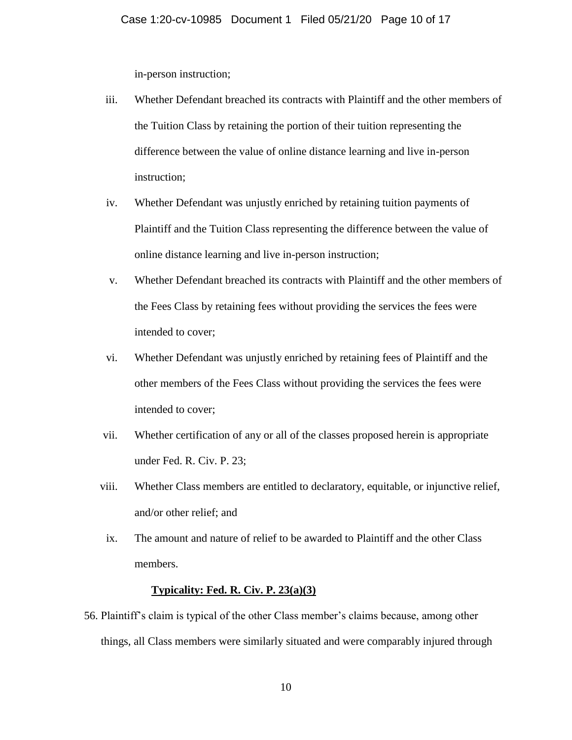in-person instruction;

- iii. Whether Defendant breached its contracts with Plaintiff and the other members of the Tuition Class by retaining the portion of their tuition representing the difference between the value of online distance learning and live in-person instruction;
- iv. Whether Defendant was unjustly enriched by retaining tuition payments of Plaintiff and the Tuition Class representing the difference between the value of online distance learning and live in-person instruction;
- v. Whether Defendant breached its contracts with Plaintiff and the other members of the Fees Class by retaining fees without providing the services the fees were intended to cover;
- vi. Whether Defendant was unjustly enriched by retaining fees of Plaintiff and the other members of the Fees Class without providing the services the fees were intended to cover;
- vii. Whether certification of any or all of the classes proposed herein is appropriate under Fed. R. Civ. P. 23;
- viii. Whether Class members are entitled to declaratory, equitable, or injunctive relief, and/or other relief; and
- ix. The amount and nature of relief to be awarded to Plaintiff and the other Class members.

#### **Typicality: Fed. R. Civ. P. 23(a)(3)**

56. Plaintiff's claim is typical of the other Class member's claims because, among other things, all Class members were similarly situated and were comparably injured through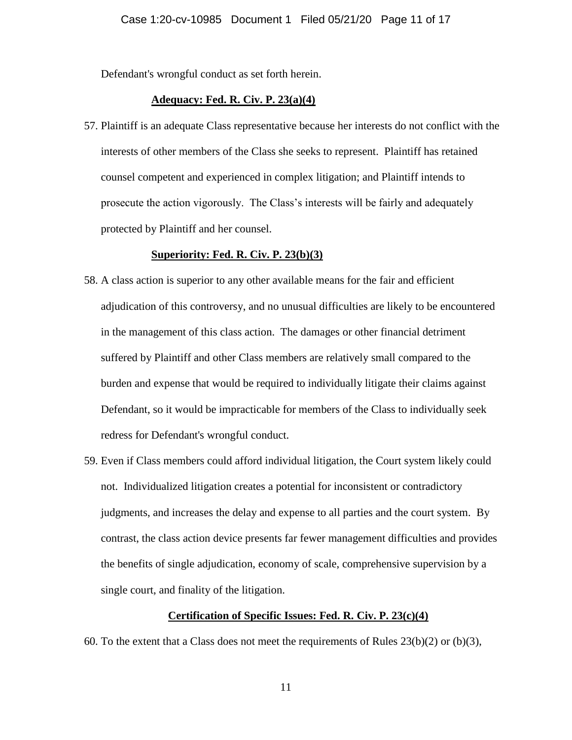Defendant's wrongful conduct as set forth herein.

#### **Adequacy: Fed. R. Civ. P. 23(a)(4)**

57. Plaintiff is an adequate Class representative because her interests do not conflict with the interests of other members of the Class she seeks to represent. Plaintiff has retained counsel competent and experienced in complex litigation; and Plaintiff intends to prosecute the action vigorously. The Class's interests will be fairly and adequately protected by Plaintiff and her counsel.

#### **Superiority: Fed. R. Civ. P. 23(b)(3)**

- 58. A class action is superior to any other available means for the fair and efficient adjudication of this controversy, and no unusual difficulties are likely to be encountered in the management of this class action. The damages or other financial detriment suffered by Plaintiff and other Class members are relatively small compared to the burden and expense that would be required to individually litigate their claims against Defendant, so it would be impracticable for members of the Class to individually seek redress for Defendant's wrongful conduct.
- 59. Even if Class members could afford individual litigation, the Court system likely could not. Individualized litigation creates a potential for inconsistent or contradictory judgments, and increases the delay and expense to all parties and the court system. By contrast, the class action device presents far fewer management difficulties and provides the benefits of single adjudication, economy of scale, comprehensive supervision by a single court, and finality of the litigation.

#### **Certification of Specific Issues: Fed. R. Civ. P. 23(c)(4)**

60. To the extent that a Class does not meet the requirements of Rules  $23(b)(2)$  or  $(b)(3)$ ,

11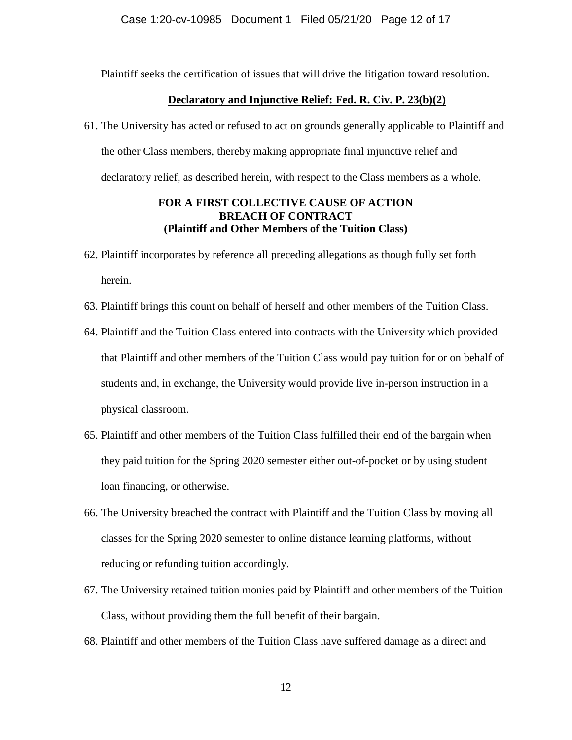Plaintiff seeks the certification of issues that will drive the litigation toward resolution.

#### **Declaratory and Injunctive Relief: Fed. R. Civ. P. 23(b)(2)**

61. The University has acted or refused to act on grounds generally applicable to Plaintiff and the other Class members, thereby making appropriate final injunctive relief and declaratory relief, as described herein, with respect to the Class members as a whole.

#### **FOR A FIRST COLLECTIVE CAUSE OF ACTION BREACH OF CONTRACT (Plaintiff and Other Members of the Tuition Class)**

- 62. Plaintiff incorporates by reference all preceding allegations as though fully set forth herein.
- 63. Plaintiff brings this count on behalf of herself and other members of the Tuition Class.
- 64. Plaintiff and the Tuition Class entered into contracts with the University which provided that Plaintiff and other members of the Tuition Class would pay tuition for or on behalf of students and, in exchange, the University would provide live in-person instruction in a physical classroom.
- 65. Plaintiff and other members of the Tuition Class fulfilled their end of the bargain when they paid tuition for the Spring 2020 semester either out-of-pocket or by using student loan financing, or otherwise.
- 66. The University breached the contract with Plaintiff and the Tuition Class by moving all classes for the Spring 2020 semester to online distance learning platforms, without reducing or refunding tuition accordingly.
- 67. The University retained tuition monies paid by Plaintiff and other members of the Tuition Class, without providing them the full benefit of their bargain.
- 68. Plaintiff and other members of the Tuition Class have suffered damage as a direct and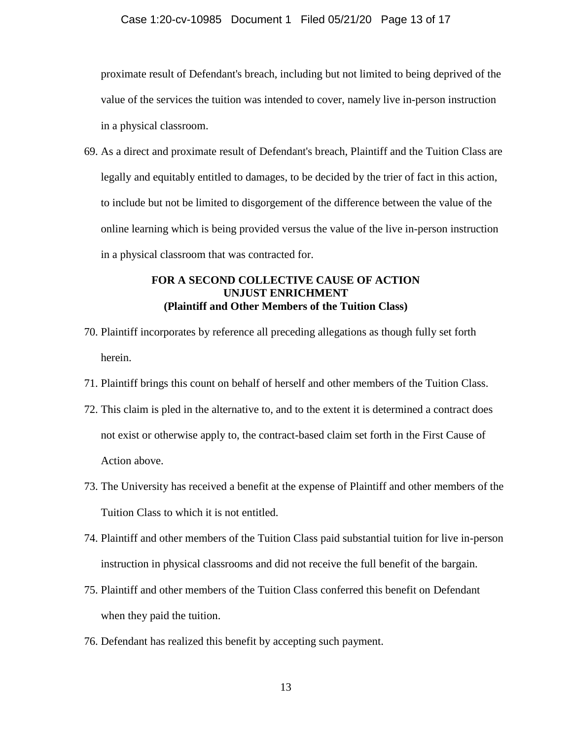#### Case 1:20-cv-10985 Document 1 Filed 05/21/20 Page 13 of 17

proximate result of Defendant's breach, including but not limited to being deprived of the value of the services the tuition was intended to cover, namely live in-person instruction in a physical classroom.

69. As a direct and proximate result of Defendant's breach, Plaintiff and the Tuition Class are legally and equitably entitled to damages, to be decided by the trier of fact in this action, to include but not be limited to disgorgement of the difference between the value of the online learning which is being provided versus the value of the live in-person instruction in a physical classroom that was contracted for.

## **FOR A SECOND COLLECTIVE CAUSE OF ACTION UNJUST ENRICHMENT (Plaintiff and Other Members of the Tuition Class)**

- 70. Plaintiff incorporates by reference all preceding allegations as though fully set forth herein.
- 71. Plaintiff brings this count on behalf of herself and other members of the Tuition Class.
- 72. This claim is pled in the alternative to, and to the extent it is determined a contract does not exist or otherwise apply to, the contract-based claim set forth in the First Cause of Action above.
- 73. The University has received a benefit at the expense of Plaintiff and other members of the Tuition Class to which it is not entitled.
- 74. Plaintiff and other members of the Tuition Class paid substantial tuition for live in-person instruction in physical classrooms and did not receive the full benefit of the bargain.
- 75. Plaintiff and other members of the Tuition Class conferred this benefit on Defendant when they paid the tuition.
- 76. Defendant has realized this benefit by accepting such payment.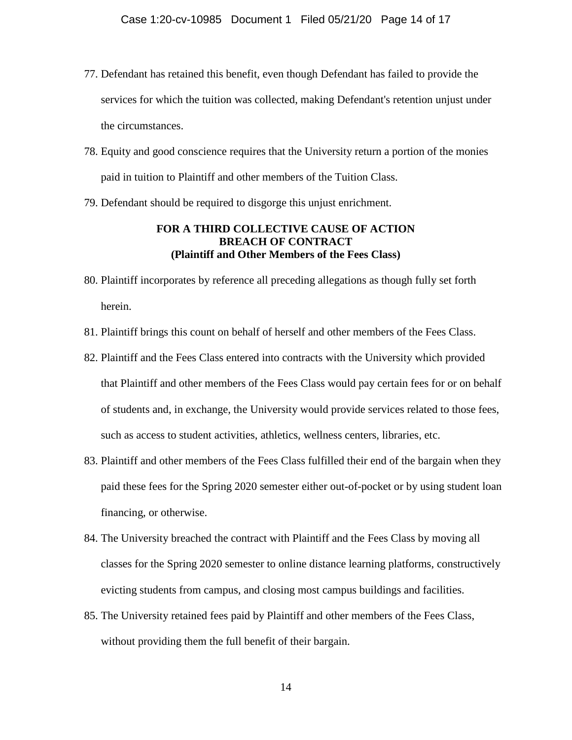- 77. Defendant has retained this benefit, even though Defendant has failed to provide the services for which the tuition was collected, making Defendant's retention unjust under the circumstances.
- 78. Equity and good conscience requires that the University return a portion of the monies paid in tuition to Plaintiff and other members of the Tuition Class.
- 79. Defendant should be required to disgorge this unjust enrichment.

#### **FOR A THIRD COLLECTIVE CAUSE OF ACTION BREACH OF CONTRACT (Plaintiff and Other Members of the Fees Class)**

- 80. Plaintiff incorporates by reference all preceding allegations as though fully set forth herein.
- 81. Plaintiff brings this count on behalf of herself and other members of the Fees Class.
- 82. Plaintiff and the Fees Class entered into contracts with the University which provided that Plaintiff and other members of the Fees Class would pay certain fees for or on behalf of students and, in exchange, the University would provide services related to those fees, such as access to student activities, athletics, wellness centers, libraries, etc.
- 83. Plaintiff and other members of the Fees Class fulfilled their end of the bargain when they paid these fees for the Spring 2020 semester either out-of-pocket or by using student loan financing, or otherwise.
- 84. The University breached the contract with Plaintiff and the Fees Class by moving all classes for the Spring 2020 semester to online distance learning platforms, constructively evicting students from campus, and closing most campus buildings and facilities.
- 85. The University retained fees paid by Plaintiff and other members of the Fees Class, without providing them the full benefit of their bargain.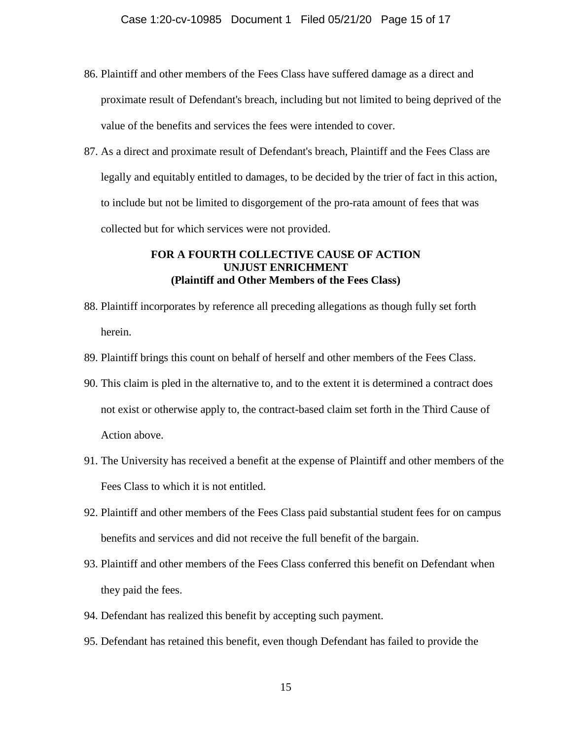- 86. Plaintiff and other members of the Fees Class have suffered damage as a direct and proximate result of Defendant's breach, including but not limited to being deprived of the value of the benefits and services the fees were intended to cover.
- 87. As a direct and proximate result of Defendant's breach, Plaintiff and the Fees Class are legally and equitably entitled to damages, to be decided by the trier of fact in this action, to include but not be limited to disgorgement of the pro-rata amount of fees that was collected but for which services were not provided.

### **FOR A FOURTH COLLECTIVE CAUSE OF ACTION UNJUST ENRICHMENT (Plaintiff and Other Members of the Fees Class)**

- 88. Plaintiff incorporates by reference all preceding allegations as though fully set forth herein.
- 89. Plaintiff brings this count on behalf of herself and other members of the Fees Class.
- 90. This claim is pled in the alternative to, and to the extent it is determined a contract does not exist or otherwise apply to, the contract-based claim set forth in the Third Cause of Action above.
- 91. The University has received a benefit at the expense of Plaintiff and other members of the Fees Class to which it is not entitled.
- 92. Plaintiff and other members of the Fees Class paid substantial student fees for on campus benefits and services and did not receive the full benefit of the bargain.
- 93. Plaintiff and other members of the Fees Class conferred this benefit on Defendant when they paid the fees.
- 94. Defendant has realized this benefit by accepting such payment.
- 95. Defendant has retained this benefit, even though Defendant has failed to provide the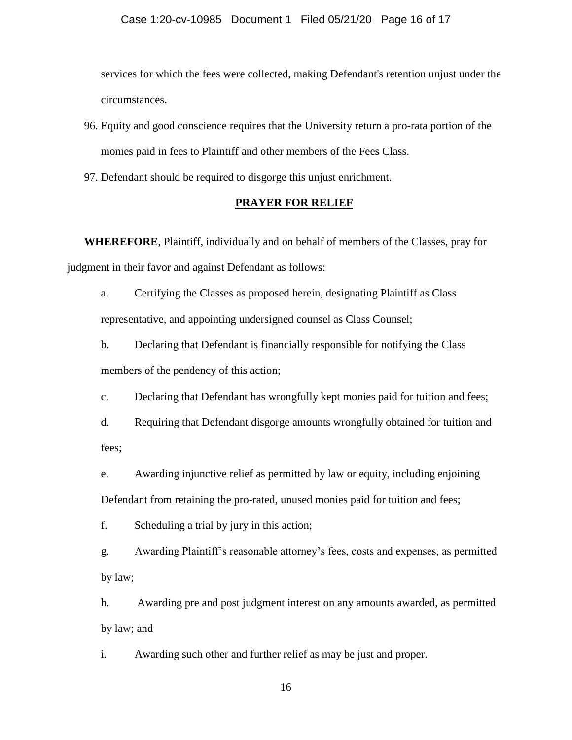services for which the fees were collected, making Defendant's retention unjust under the circumstances.

- 96. Equity and good conscience requires that the University return a pro-rata portion of the monies paid in fees to Plaintiff and other members of the Fees Class.
- 97. Defendant should be required to disgorge this unjust enrichment.

#### **PRAYER FOR RELIEF**

**WHEREFORE**, Plaintiff, individually and on behalf of members of the Classes, pray for judgment in their favor and against Defendant as follows:

a. Certifying the Classes as proposed herein, designating Plaintiff as Class representative, and appointing undersigned counsel as Class Counsel;

b. Declaring that Defendant is financially responsible for notifying the Class members of the pendency of this action;

c. Declaring that Defendant has wrongfully kept monies paid for tuition and fees;

d. Requiring that Defendant disgorge amounts wrongfully obtained for tuition and fees;

e. Awarding injunctive relief as permitted by law or equity, including enjoining Defendant from retaining the pro-rated, unused monies paid for tuition and fees;

f. Scheduling a trial by jury in this action;

g. Awarding Plaintiff's reasonable attorney's fees, costs and expenses, as permitted by law;

h. Awarding pre and post judgment interest on any amounts awarded, as permitted by law; and

i. Awarding such other and further relief as may be just and proper.

16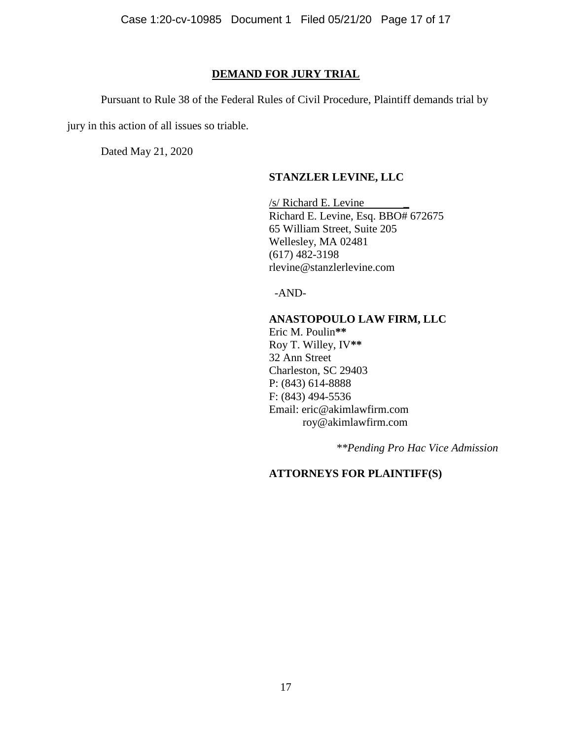Case 1:20-cv-10985 Document 1 Filed 05/21/20 Page 17 of 17

#### **DEMAND FOR JURY TRIAL**

Pursuant to Rule 38 of the Federal Rules of Civil Procedure, Plaintiff demands trial by

jury in this action of all issues so triable.

Dated May 21, 2020

#### **STANZLER LEVINE, LLC**

 $/s/$  Richard E. Levine Richard E. Levine, Esq. BBO# 672675 65 William Street, Suite 205 Wellesley, MA 02481 (617) 482-3198 rlevine@stanzlerlevine.com

-AND-

#### **ANASTOPOULO LAW FIRM, LLC**

Eric M. Poulin**\*\*** Roy T. Willey, IV**\*\*** 32 Ann Street Charleston, SC 29403 P: (843) 614-8888 F: (843) 494-5536 Email: eric@akimlawfirm.com roy@akimlawfirm.com

*\*\*Pending Pro Hac Vice Admission*

### **ATTORNEYS FOR PLAINTIFF(S)**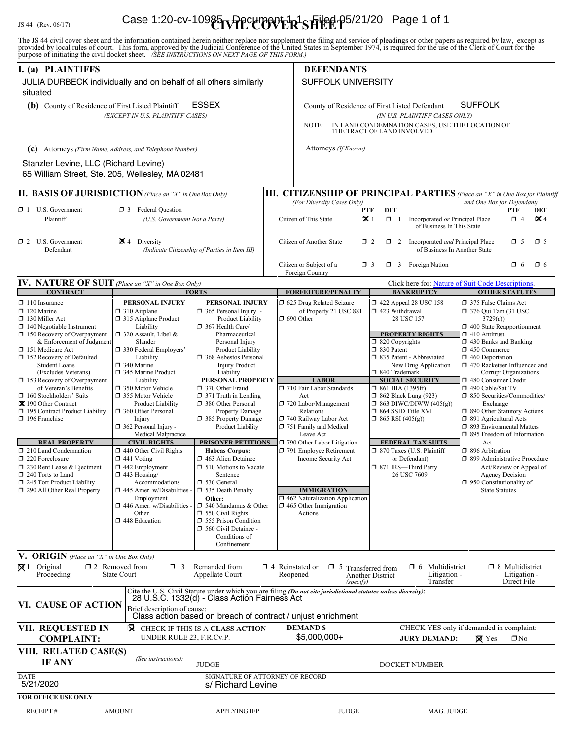# JS 44 (Rev. 06/17) **Case 1:20-cv-10985 UPPCLIPOVER<sup>1</sup>SHEEL** P5/21/20 Page 1 of 1

The JS 44 civil cover sheet and the information contained herein neither replace nor supplement the filing and service of pleadings or other papers as required by law, except as provided by local rules of court. This form,

| I. (a) PLAINTIFFS                                                                                                                                                                                                                                                                                                                                                                                                                                                                                                                                                                                                                                | <b>DEFENDANTS</b>                                                                                                                                                                                                                                                                                                                                                                                                                                                                                                                                                                                                          |                                                                                                                                                                                                                                                                                                                                                                                                                                                                                                                                                                                                                                                                                                                        |                                    |                                                                                                                                                                                                                                                                                                                                                                                                               |                                                                                                                                                                                                                                                                                                                                                                                                                                                                                                               |                                                                       |                                                                                                                                                                                                                                                                                                                                                                                                                                                                                                                                                                                                                                                        |  |
|--------------------------------------------------------------------------------------------------------------------------------------------------------------------------------------------------------------------------------------------------------------------------------------------------------------------------------------------------------------------------------------------------------------------------------------------------------------------------------------------------------------------------------------------------------------------------------------------------------------------------------------------------|----------------------------------------------------------------------------------------------------------------------------------------------------------------------------------------------------------------------------------------------------------------------------------------------------------------------------------------------------------------------------------------------------------------------------------------------------------------------------------------------------------------------------------------------------------------------------------------------------------------------------|------------------------------------------------------------------------------------------------------------------------------------------------------------------------------------------------------------------------------------------------------------------------------------------------------------------------------------------------------------------------------------------------------------------------------------------------------------------------------------------------------------------------------------------------------------------------------------------------------------------------------------------------------------------------------------------------------------------------|------------------------------------|---------------------------------------------------------------------------------------------------------------------------------------------------------------------------------------------------------------------------------------------------------------------------------------------------------------------------------------------------------------------------------------------------------------|---------------------------------------------------------------------------------------------------------------------------------------------------------------------------------------------------------------------------------------------------------------------------------------------------------------------------------------------------------------------------------------------------------------------------------------------------------------------------------------------------------------|-----------------------------------------------------------------------|--------------------------------------------------------------------------------------------------------------------------------------------------------------------------------------------------------------------------------------------------------------------------------------------------------------------------------------------------------------------------------------------------------------------------------------------------------------------------------------------------------------------------------------------------------------------------------------------------------------------------------------------------------|--|
| JULIA DURBECK individually and on behalf of all others similarly<br>situated                                                                                                                                                                                                                                                                                                                                                                                                                                                                                                                                                                     |                                                                                                                                                                                                                                                                                                                                                                                                                                                                                                                                                                                                                            |                                                                                                                                                                                                                                                                                                                                                                                                                                                                                                                                                                                                                                                                                                                        |                                    | <b>SUFFOLK UNIVERSITY</b>                                                                                                                                                                                                                                                                                                                                                                                     |                                                                                                                                                                                                                                                                                                                                                                                                                                                                                                               |                                                                       |                                                                                                                                                                                                                                                                                                                                                                                                                                                                                                                                                                                                                                                        |  |
| <b>ESSEX</b><br>(b) County of Residence of First Listed Plaintiff                                                                                                                                                                                                                                                                                                                                                                                                                                                                                                                                                                                |                                                                                                                                                                                                                                                                                                                                                                                                                                                                                                                                                                                                                            |                                                                                                                                                                                                                                                                                                                                                                                                                                                                                                                                                                                                                                                                                                                        |                                    | <b>SUFFOLK</b><br>County of Residence of First Listed Defendant                                                                                                                                                                                                                                                                                                                                               |                                                                                                                                                                                                                                                                                                                                                                                                                                                                                                               |                                                                       |                                                                                                                                                                                                                                                                                                                                                                                                                                                                                                                                                                                                                                                        |  |
|                                                                                                                                                                                                                                                                                                                                                                                                                                                                                                                                                                                                                                                  | (EXCEPT IN U.S. PLAINTIFF CASES)                                                                                                                                                                                                                                                                                                                                                                                                                                                                                                                                                                                           |                                                                                                                                                                                                                                                                                                                                                                                                                                                                                                                                                                                                                                                                                                                        |                                    | NOTE:                                                                                                                                                                                                                                                                                                                                                                                                         | (IN U.S. PLAINTIFF CASES ONLY)<br>IN LAND CONDEMNATION CASES, USE THE LOCATION OF<br>THE TRACT OF LAND INVOLVED.                                                                                                                                                                                                                                                                                                                                                                                              |                                                                       |                                                                                                                                                                                                                                                                                                                                                                                                                                                                                                                                                                                                                                                        |  |
| (c) Attorneys (Firm Name, Address, and Telephone Number)                                                                                                                                                                                                                                                                                                                                                                                                                                                                                                                                                                                         |                                                                                                                                                                                                                                                                                                                                                                                                                                                                                                                                                                                                                            |                                                                                                                                                                                                                                                                                                                                                                                                                                                                                                                                                                                                                                                                                                                        |                                    | Attorneys (If Known)                                                                                                                                                                                                                                                                                                                                                                                          |                                                                                                                                                                                                                                                                                                                                                                                                                                                                                                               |                                                                       |                                                                                                                                                                                                                                                                                                                                                                                                                                                                                                                                                                                                                                                        |  |
| Stanzler Levine, LLC (Richard Levine)                                                                                                                                                                                                                                                                                                                                                                                                                                                                                                                                                                                                            |                                                                                                                                                                                                                                                                                                                                                                                                                                                                                                                                                                                                                            |                                                                                                                                                                                                                                                                                                                                                                                                                                                                                                                                                                                                                                                                                                                        |                                    |                                                                                                                                                                                                                                                                                                                                                                                                               |                                                                                                                                                                                                                                                                                                                                                                                                                                                                                                               |                                                                       |                                                                                                                                                                                                                                                                                                                                                                                                                                                                                                                                                                                                                                                        |  |
| 65 William Street, Ste. 205, Wellesley, MA 02481                                                                                                                                                                                                                                                                                                                                                                                                                                                                                                                                                                                                 |                                                                                                                                                                                                                                                                                                                                                                                                                                                                                                                                                                                                                            |                                                                                                                                                                                                                                                                                                                                                                                                                                                                                                                                                                                                                                                                                                                        |                                    |                                                                                                                                                                                                                                                                                                                                                                                                               |                                                                                                                                                                                                                                                                                                                                                                                                                                                                                                               |                                                                       |                                                                                                                                                                                                                                                                                                                                                                                                                                                                                                                                                                                                                                                        |  |
| <b>II. BASIS OF JURISDICTION</b> (Place an "X" in One Box Only)                                                                                                                                                                                                                                                                                                                                                                                                                                                                                                                                                                                  |                                                                                                                                                                                                                                                                                                                                                                                                                                                                                                                                                                                                                            |                                                                                                                                                                                                                                                                                                                                                                                                                                                                                                                                                                                                                                                                                                                        |                                    | III. CITIZENSHIP OF PRINCIPAL PARTIES (Place an "X" in One Box for Plaintiff                                                                                                                                                                                                                                                                                                                                  |                                                                                                                                                                                                                                                                                                                                                                                                                                                                                                               |                                                                       |                                                                                                                                                                                                                                                                                                                                                                                                                                                                                                                                                                                                                                                        |  |
| $\Box$ 1 U.S. Government<br><b>13</b> Federal Question<br>Plaintiff<br>(U.S. Government Not a Party)                                                                                                                                                                                                                                                                                                                                                                                                                                                                                                                                             |                                                                                                                                                                                                                                                                                                                                                                                                                                                                                                                                                                                                                            |                                                                                                                                                                                                                                                                                                                                                                                                                                                                                                                                                                                                                                                                                                                        |                                    | (For Diversity Cases Only)<br>Citizen of This State                                                                                                                                                                                                                                                                                                                                                           | <b>DEF</b><br>PTF<br>$\mathbf{\times}1$                                                                                                                                                                                                                                                                                                                                                                                                                                                                       | $\Box$ 1 Incorporated or Principal Place<br>of Business In This State | and One Box for Defendant)<br>PTF<br>DEF<br>$\mathbf{\times}$ 4<br>$\Box$ 4                                                                                                                                                                                                                                                                                                                                                                                                                                                                                                                                                                            |  |
| $\blacktriangleright$ 4 Diversity<br>$\Box$ 2 U.S. Government<br>Defendant<br>(Indicate Citizenship of Parties in Item III)                                                                                                                                                                                                                                                                                                                                                                                                                                                                                                                      |                                                                                                                                                                                                                                                                                                                                                                                                                                                                                                                                                                                                                            |                                                                                                                                                                                                                                                                                                                                                                                                                                                                                                                                                                                                                                                                                                                        |                                    | Citizen of Another State<br>$\Box$ 2 Incorporated <i>and</i> Principal Place<br>$\Box$ 5<br>$\square$ 5<br>$\Box$ 2<br>of Business In Another State                                                                                                                                                                                                                                                           |                                                                                                                                                                                                                                                                                                                                                                                                                                                                                                               |                                                                       |                                                                                                                                                                                                                                                                                                                                                                                                                                                                                                                                                                                                                                                        |  |
|                                                                                                                                                                                                                                                                                                                                                                                                                                                                                                                                                                                                                                                  |                                                                                                                                                                                                                                                                                                                                                                                                                                                                                                                                                                                                                            |                                                                                                                                                                                                                                                                                                                                                                                                                                                                                                                                                                                                                                                                                                                        |                                    | Citizen or Subject of a<br>Foreign Country                                                                                                                                                                                                                                                                                                                                                                    | $\Box$ 3 Foreign Nation<br>$\Box$ 3                                                                                                                                                                                                                                                                                                                                                                                                                                                                           |                                                                       | $\Box$ 6<br>$\Box$ 6                                                                                                                                                                                                                                                                                                                                                                                                                                                                                                                                                                                                                                   |  |
| IV. NATURE OF SUIT (Place an "X" in One Box Only)<br><b>CONTRACT</b>                                                                                                                                                                                                                                                                                                                                                                                                                                                                                                                                                                             |                                                                                                                                                                                                                                                                                                                                                                                                                                                                                                                                                                                                                            | <b>TORTS</b>                                                                                                                                                                                                                                                                                                                                                                                                                                                                                                                                                                                                                                                                                                           |                                    | <b>FORFEITURE/PENALTY</b>                                                                                                                                                                                                                                                                                                                                                                                     | <b>BANKRUPTCY</b>                                                                                                                                                                                                                                                                                                                                                                                                                                                                                             | Click here for: Nature of Suit Code Descriptions.                     | <b>OTHER STATUTES</b>                                                                                                                                                                                                                                                                                                                                                                                                                                                                                                                                                                                                                                  |  |
| $\Box$ 110 Insurance<br>$\Box$ 120 Marine<br>130 Miller Act<br>$\Box$ 140 Negotiable Instrument<br>$\Box$ 150 Recovery of Overpayment<br>& Enforcement of Judgment<br>151 Medicare Act<br>152 Recovery of Defaulted<br><b>Student Loans</b><br>(Excludes Veterans)<br>153 Recovery of Overpayment<br>of Veteran's Benefits<br>$\Box$ 160 Stockholders' Suits<br>又 190 Other Contract<br>195 Contract Product Liability<br>$\Box$ 196 Franchise<br><b>REAL PROPERTY</b><br>$\Box$ 210 Land Condemnation<br>220 Foreclosure<br>$\Box$ 230 Rent Lease & Ejectment<br>240 Torts to Land<br>245 Tort Product Liability<br>290 All Other Real Property | PERSONAL INJURY<br>$\Box$ 310 Airplane<br>□ 315 Airplane Product<br>Liability<br>$\Box$ 320 Assault, Libel &<br>Slander<br>□ 330 Federal Employers'<br>Liability<br>340 Marine<br>345 Marine Product<br>Liability<br>350 Motor Vehicle<br>□ 355 Motor Vehicle<br>Product Liability<br>360 Other Personal<br>Injury<br>362 Personal Injury -<br>Medical Malpractice<br><b>CIVIL RIGHTS</b><br>$\Box$ 440 Other Civil Rights<br>$\Box$ 441 Voting<br>$\Box$ 442 Employment<br>$\Box$ 443 Housing/<br>Accommodations<br>445 Amer. w/Disabilities -<br>Employment<br>$\Box$ 446 Amer. w/Disabilities<br>Other<br>448 Education | PERSONAL INJURY<br>$\Box$ 365 Personal Injury -<br>Product Liability<br>367 Health Care/<br>Pharmaceutical<br>Personal Injury<br>Product Liability<br>368 Asbestos Personal<br><b>Injury Product</b><br>Liability<br>PERSONAL PROPERTY<br>□ 370 Other Fraud<br>$\Box$ 371 Truth in Lending<br>380 Other Personal<br><b>Property Damage</b><br>385 Property Damage<br>Product Liability<br><b>PRISONER PETITIONS</b><br><b>Habeas Corpus:</b><br>$\Box$ 463 Alien Detainee<br>$\Box$ 510 Motions to Vacate<br>Sentence<br>□ 530 General<br>535 Death Penalty<br>Other:<br>$\Box$ 540 Mandamus & Other<br>$\Box$ 550 Civil Rights<br>555 Prison Condition<br>$\Box$ 560 Civil Detainee -<br>Conditions of<br>Confinement | $\Box$ 690 Other                   | 5 625 Drug Related Seizure<br>of Property 21 USC 881<br><b>LABOR</b><br>710 Fair Labor Standards<br>Act<br>720 Labor/Management<br>Relations<br>740 Railway Labor Act<br>751 Family and Medical<br>Leave Act<br>$\Box$ 790 Other Labor Litigation<br>791 Employee Retirement<br>Income Security Act<br><b>IMMIGRATION</b><br>$\Box$ 462 Naturalization Application<br>$\Box$ 465 Other Immigration<br>Actions | 158 152 422 Appeal 28 USC<br>$\Box$ 423 Withdrawal<br>28 USC 157<br><b>PROPERTY RIGHTS</b><br>$\Box$ 820 Copyrights<br>□ 830 Patent<br>□ 835 Patent - Abbreviated<br>New Drug Application<br>□ 840 Trademark<br><b>SOCIAL SECURITY</b><br>$\Box$ 861 HIA (1395ff)<br>$\Box$ 862 Black Lung (923)<br>$\Box$ 863 DIWC/DIWW (405(g))<br>□ 864 SSID Title XVI<br>$\Box$ 865 RSI (405(g))<br><b>FEDERAL TAX SUITS</b><br>$\Box$ 870 Taxes (U.S. Plaintiff<br>or Defendant)<br>□ 871 IRS-Third Party<br>26 USC 7609 |                                                                       | 375 False Claims Act<br>$\Box$ 376 Qui Tam (31 USC<br>3729(a)<br>$\Box$ 400 State Reapportionment<br>$\Box$ 410 Antitrust<br>1 430 Banks and Banking<br>1 450 Commerce<br>$\Box$ 460 Deportation<br>□ 470 Racketeer Influenced and<br>Corrupt Organizations<br>480 Consumer Credit<br>490 Cable/Sat TV<br>□ 850 Securities/Commodities/<br>Exchange<br>1 890 Other Statutory Actions<br>□ 891 Agricultural Acts<br>7 893 Environmental Matters<br>□ 895 Freedom of Information<br>Act<br>□ 896 Arbitration<br>□ 899 Administrative Procedure<br>Act/Review or Appeal of<br><b>Agency Decision</b><br>950 Constitutionality of<br><b>State Statutes</b> |  |
| <b>V. ORIGIN</b> (Place an "X" in One Box Only)<br>$\boxtimes$ 1 Original<br>Proceeding                                                                                                                                                                                                                                                                                                                                                                                                                                                                                                                                                          | $\square$ 2 Removed from<br>$\Box$ 3<br><b>State Court</b>                                                                                                                                                                                                                                                                                                                                                                                                                                                                                                                                                                 | Remanded from<br>Appellate Court                                                                                                                                                                                                                                                                                                                                                                                                                                                                                                                                                                                                                                                                                       | $\Box$ 4 Reinstated or<br>Reopened | $\square$ 5<br>(specify)                                                                                                                                                                                                                                                                                                                                                                                      | Transferred from<br>Another District                                                                                                                                                                                                                                                                                                                                                                                                                                                                          | $\Box$ 6 Multidistrict<br>Litigation -<br>Transfer                    | $\Box$ 8 Multidistrict<br>Litigation -<br>Direct File                                                                                                                                                                                                                                                                                                                                                                                                                                                                                                                                                                                                  |  |
| VI. CAUSE OF ACTION                                                                                                                                                                                                                                                                                                                                                                                                                                                                                                                                                                                                                              | Brief description of cause:                                                                                                                                                                                                                                                                                                                                                                                                                                                                                                                                                                                                | Cite the U.S. Civil Statute under which you are filing (Do not cite jurisdictional statutes unless diversity):<br>28 U.S.C. 1332(d) - Class Action Fairness Act<br>Class action based on breach of contract / unjust enrichment                                                                                                                                                                                                                                                                                                                                                                                                                                                                                        |                                    |                                                                                                                                                                                                                                                                                                                                                                                                               |                                                                                                                                                                                                                                                                                                                                                                                                                                                                                                               |                                                                       |                                                                                                                                                                                                                                                                                                                                                                                                                                                                                                                                                                                                                                                        |  |
| VII. REQUESTED IN<br><b>COMPLAINT:</b>                                                                                                                                                                                                                                                                                                                                                                                                                                                                                                                                                                                                           | UNDER RULE 23, F.R.Cv.P.                                                                                                                                                                                                                                                                                                                                                                                                                                                                                                                                                                                                   | <b>X</b> CHECK IF THIS IS A CLASS ACTION                                                                                                                                                                                                                                                                                                                                                                                                                                                                                                                                                                                                                                                                               |                                    | <b>DEMANDS</b><br>$$5,000,000+$                                                                                                                                                                                                                                                                                                                                                                               | <b>JURY DEMAND:</b>                                                                                                                                                                                                                                                                                                                                                                                                                                                                                           | CHECK YES only if demanded in complaint:<br>$\boxtimes$ Yes           | $\Box$ No                                                                                                                                                                                                                                                                                                                                                                                                                                                                                                                                                                                                                                              |  |
| VIII. RELATED CASE(S)<br>IF ANY                                                                                                                                                                                                                                                                                                                                                                                                                                                                                                                                                                                                                  | (See instructions):                                                                                                                                                                                                                                                                                                                                                                                                                                                                                                                                                                                                        | <b>JUDGE</b>                                                                                                                                                                                                                                                                                                                                                                                                                                                                                                                                                                                                                                                                                                           |                                    |                                                                                                                                                                                                                                                                                                                                                                                                               | DOCKET NUMBER                                                                                                                                                                                                                                                                                                                                                                                                                                                                                                 |                                                                       |                                                                                                                                                                                                                                                                                                                                                                                                                                                                                                                                                                                                                                                        |  |
| <b>DATE</b><br>5/21/2020                                                                                                                                                                                                                                                                                                                                                                                                                                                                                                                                                                                                                         |                                                                                                                                                                                                                                                                                                                                                                                                                                                                                                                                                                                                                            | SIGNATURE OF ATTORNEY OF RECORD<br>s/ Richard Levine                                                                                                                                                                                                                                                                                                                                                                                                                                                                                                                                                                                                                                                                   |                                    |                                                                                                                                                                                                                                                                                                                                                                                                               |                                                                                                                                                                                                                                                                                                                                                                                                                                                                                                               |                                                                       |                                                                                                                                                                                                                                                                                                                                                                                                                                                                                                                                                                                                                                                        |  |
| <b>FOR OFFICE USE ONLY</b>                                                                                                                                                                                                                                                                                                                                                                                                                                                                                                                                                                                                                       |                                                                                                                                                                                                                                                                                                                                                                                                                                                                                                                                                                                                                            |                                                                                                                                                                                                                                                                                                                                                                                                                                                                                                                                                                                                                                                                                                                        |                                    |                                                                                                                                                                                                                                                                                                                                                                                                               |                                                                                                                                                                                                                                                                                                                                                                                                                                                                                                               |                                                                       |                                                                                                                                                                                                                                                                                                                                                                                                                                                                                                                                                                                                                                                        |  |
| <b>RECEIPT#</b>                                                                                                                                                                                                                                                                                                                                                                                                                                                                                                                                                                                                                                  | <b>AMOUNT</b>                                                                                                                                                                                                                                                                                                                                                                                                                                                                                                                                                                                                              | <b>APPLYING IFP</b>                                                                                                                                                                                                                                                                                                                                                                                                                                                                                                                                                                                                                                                                                                    |                                    | <b>JUDGE</b>                                                                                                                                                                                                                                                                                                                                                                                                  |                                                                                                                                                                                                                                                                                                                                                                                                                                                                                                               | MAG. JUDGE                                                            |                                                                                                                                                                                                                                                                                                                                                                                                                                                                                                                                                                                                                                                        |  |